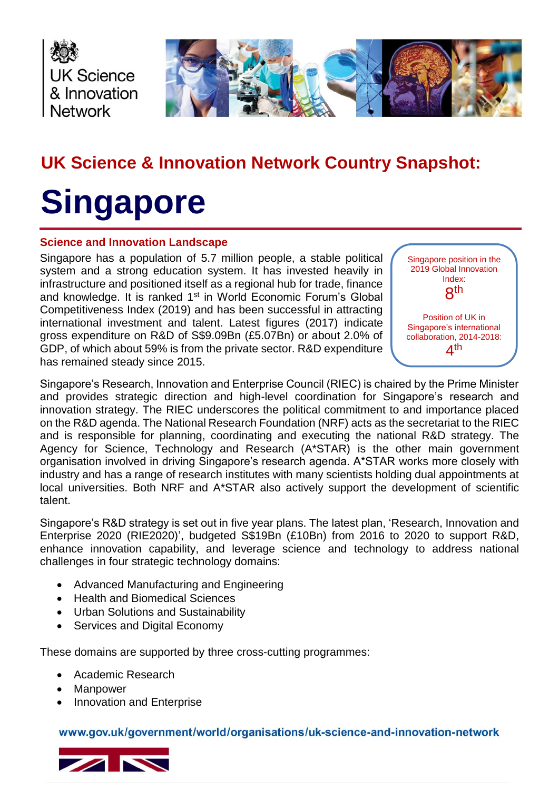



# **UK Science & Innovation Network Country Snapshot:**

# **Singapore**

#### **Science and Innovation Landscape**

Singapore has a population of 5.7 million people, a stable political system and a strong education system. It has invested heavily in infrastructure and positioned itself as a regional hub for trade, finance and knowledge. It is ranked 1<sup>st</sup> in World Economic Forum's Global Competitiveness Index (2019) and has been successful in attracting international investment and talent. Latest figures (2017) indicate gross expenditure on R&D of S\$9.09Bn (£5.07Bn) or about 2.0% of GDP, of which about 59% is from the private sector. R&D expenditure has remained steady since 2015.



Singapore's Research, Innovation and Enterprise Council (RIEC) is chaired by the Prime Minister and provides strategic direction and high-level coordination for Singapore's research and innovation strategy. The RIEC underscores the political commitment to and importance placed on the R&D agenda. The National Research Foundation (NRF) acts as the secretariat to the RIEC and is responsible for planning, coordinating and executing the national R&D strategy. The Agency for Science, Technology and Research (A\*STAR) is the other main government organisation involved in driving Singapore's research agenda. A\*STAR works more closely with industry and has a range of research institutes with many scientists holding dual appointments at local universities. Both NRF and A\*STAR also actively support the development of scientific talent.

Singapore's R&D strategy is set out in five year plans. The latest plan, 'Research, Innovation and Enterprise 2020 (RIE2020)', budgeted S\$19Bn (£10Bn) from 2016 to 2020 to support R&D, enhance innovation capability, and leverage science and technology to address national challenges in four strategic technology domains:

- Advanced Manufacturing and Engineering
- Health and Biomedical Sciences
- Urban Solutions and Sustainability
- Services and Digital Economy

These domains are supported by three cross-cutting programmes:

- Academic Research
- Manpower
- Innovation and Enterprise

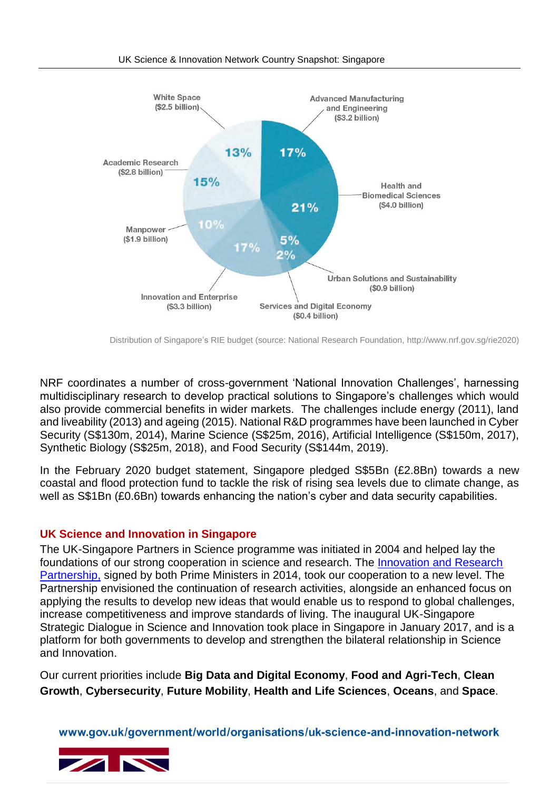

Distribution of Singapore's RIE budget (source: National Research Foundation, http://www.nrf.gov.sg/rie2020)

NRF coordinates a number of cross-government 'National Innovation Challenges', harnessing multidisciplinary research to develop practical solutions to Singapore's challenges which would also provide commercial benefits in wider markets. The challenges include energy (2011), land and liveability (2013) and ageing (2015). National R&D programmes have been launched in Cyber Security (S\$130m, 2014), Marine Science (S\$25m, 2016), Artificial Intelligence (S\$150m, 2017), Synthetic Biology (S\$25m, 2018), and Food Security (S\$144m, 2019).

In the February 2020 budget statement, Singapore pledged S\$5Bn (£2.8Bn) towards a new coastal and flood protection fund to tackle the risk of rising sea levels due to climate change, as well as S\$1Bn (£0.6Bn) towards enhancing the nation's cyber and data security capabilities.

### **UK Science and Innovation in Singapore**

The UK-Singapore Partners in Science programme was initiated in 2004 and helped lay the foundations of our strong cooperation in science and research. The [Innovation and Research](https://www.gov.uk/government/news/new-innovation-and-research-partnership-between-uk-and-singapore-welcomed)  [Partnership,](https://www.gov.uk/government/news/new-innovation-and-research-partnership-between-uk-and-singapore-welcomed) signed by both Prime Ministers in 2014, took our cooperation to a new level. The Partnership envisioned the continuation of research activities, alongside an enhanced focus on applying the results to develop new ideas that would enable us to respond to global challenges, increase competitiveness and improve standards of living. The inaugural UK-Singapore Strategic Dialogue in Science and Innovation took place in Singapore in January 2017, and is a platform for both governments to develop and strengthen the bilateral relationship in Science and Innovation.

Our current priorities include **Big Data and Digital Economy**, **Food and Agri-Tech**, **Clean Growth**, **Cybersecurity**, **Future Mobility**, **Health and Life Sciences**, **Oceans**, and **Space**.

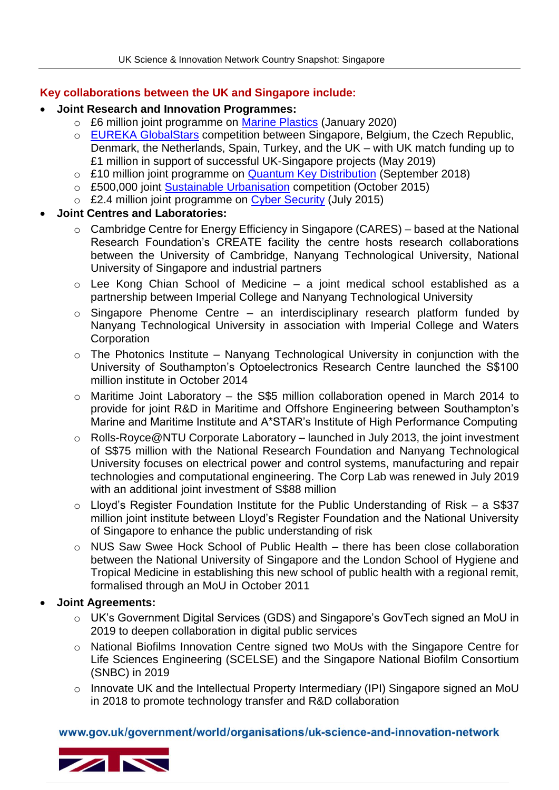## **Key collaborations between the UK and Singapore include:**

- **Joint Research and Innovation Programmes:**
	- o £6 million joint programme on [Marine Plastics](https://nerc.ukri.org/research/funded/programmes/seap/news/ao-singapore-plastics/) (January 2020)
	- o [EUREKA GlobalStars](https://www.gov.uk/government/news/partner-with-singapore-on-disruptive-projects-apply-for-fundinghttps:/www.gov.uk/government/news/partner-with-singapore-on-disruptive-projects-apply-for-funding) competition between Singapore, Belgium, the Czech Republic, Denmark, the Netherlands, Spain, Turkey, and the UK – with UK match funding up to £1 million in support of successful UK-Singapore projects (May 2019)
	- o £10 million joint programme on [Quantum Key Distribution](https://www.gov.uk/government/news/uk-and-singapore-come-together-to-launch-10m-quantum-space-programme) (September 2018)
	- o £500,000 joint [Sustainable Urbanisation](https://interact.innovateuk.org/competition-display-page/-/asset_publisher/RqEt2AKmEBhi/content/uk-singapore-technologies-for-smart-urbanisation?_101_INSTANCE_RqEt2AKmEBhi_dm_i=2VFU%2C4AK6%2C1J71VV%2CCG9T%2C1) competition (October 2015)
	- £2.4 million joint programme on [Cyber Security](https://www.epsrc.ac.uk/newsevents/news/collaboratingagainstcyberthreats/) (July 2015)

# **Joint Centres and Laboratories:**

- o Cambridge Centre for Energy Efficiency in Singapore (CARES) based at the National Research Foundation's CREATE facility the centre hosts research collaborations between the University of Cambridge, Nanyang Technological University, National University of Singapore and industrial partners
- o Lee Kong Chian School of Medicine a joint medical school established as a partnership between Imperial College and Nanyang Technological University
- $\circ$  Singapore Phenome Centre an interdisciplinary research platform funded by Nanyang Technological University in association with Imperial College and Waters **Corporation**
- $\circ$  The Photonics Institute Nanyang Technological University in conjunction with the University of Southampton's Optoelectronics Research Centre launched the S\$100 million institute in October 2014
- o Maritime Joint Laboratory the S\$5 million collaboration opened in March 2014 to provide for joint R&D in Maritime and Offshore Engineering between Southampton's Marine and Maritime Institute and A\*STAR's Institute of High Performance Computing
- o Rolls-Royce@NTU Corporate Laboratory launched in July 2013, the joint investment of S\$75 million with the National Research Foundation and Nanyang Technological University focuses on electrical power and control systems, manufacturing and repair technologies and computational engineering. The Corp Lab was renewed in July 2019 with an additional joint investment of S\$88 million
- o Lloyd's Register Foundation Institute for the Public Understanding of Risk a S\$37 million joint institute between Lloyd's Register Foundation and the National University of Singapore to enhance the public understanding of risk
- o NUS Saw Swee Hock School of Public Health there has been close collaboration between the National University of Singapore and the London School of Hygiene and Tropical Medicine in establishing this new school of public health with a regional remit, formalised through an MoU in October 2011

### **Joint Agreements:**

- o UK's Government Digital Services (GDS) and Singapore's GovTech signed an MoU in 2019 to deepen collaboration in digital public services
- o National Biofilms Innovation Centre signed two MoUs with the Singapore Centre for Life Sciences Engineering (SCELSE) and the Singapore National Biofilm Consortium (SNBC) in 2019
- o Innovate UK and the Intellectual Property Intermediary (IPI) Singapore signed an MoU in 2018 to promote technology transfer and R&D collaboration